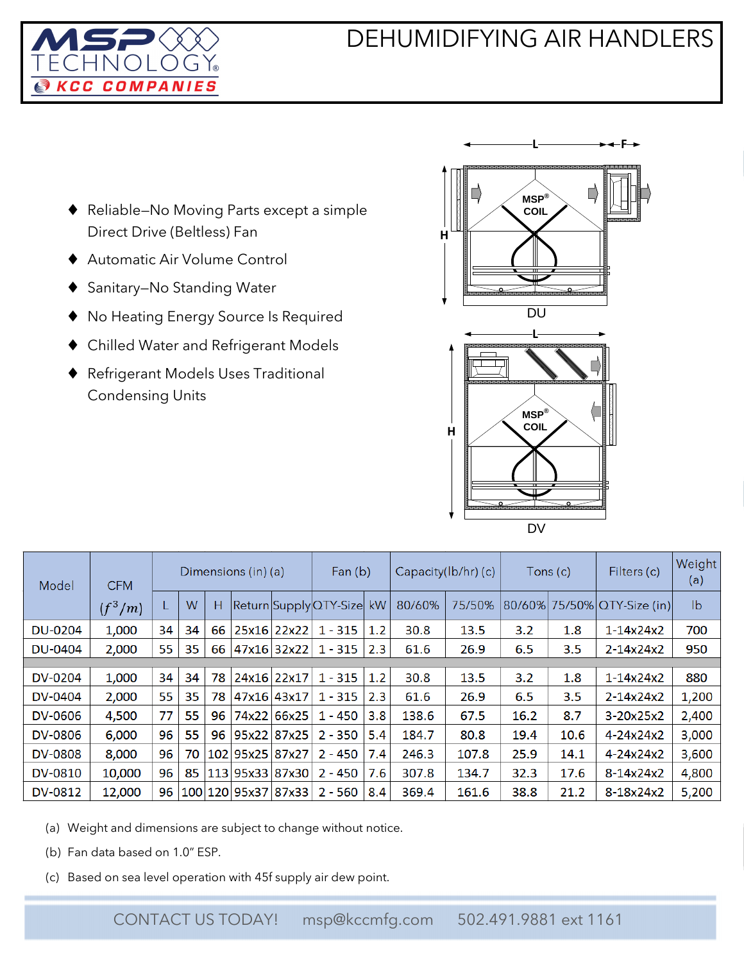### DEHUMIDIFYING AIR HANDLERS



- ◆ Reliable–No Moving Parts except a simple Direct Drive (Beltless) Fan
- ◆ Automatic Air Volume Control
- ◆ Sanitary–No Standing Water
- No Heating Energy Source Is Required
- Chilled Water and Refrigerant Models
- ◆ Refrigerant Models Uses Traditional Condensing Units



| Model          | <b>CFM</b> | Dimensions (in) (a) |    |    |                     |             | Fan(b)                    |     | Capacity(lb/hr)(c) |        | Tons(c) |      | Filters (c)                 | Weight<br>(a) |
|----------------|------------|---------------------|----|----|---------------------|-------------|---------------------------|-----|--------------------|--------|---------|------|-----------------------------|---------------|
|                | $(f^3/m)$  |                     | W  | Н  |                     |             | Return Supply QTY-Size kW |     | 80/60%             | 75/50% |         |      | 80/60% 75/50% QTY-Size (in) | lb            |
| <b>DU-0204</b> | 1,000      | 34                  | 34 | 66 | 25x16               | 22x22       | $1 - 315$                 | 1.2 | 30.8               | 13.5   | 3.2     | 1.8  | $1 - 14x24x2$               | 700           |
| DU-0404        | 2,000      | 55                  | 35 | 66 |                     | 47x16 32x22 | $1 - 315$                 | 2.3 | 61.6               | 26.9   | 6.5     | 3.5  | $2 - 14x24x2$               | 950           |
|                |            |                     |    |    |                     |             |                           |     |                    |        |         |      |                             |               |
| DV-0204        | 1,000      | 34                  | 34 | 78 | 24x16               | 22x17       | $1 - 315$                 | 1.2 | 30.8               | 13.5   | 3.2     | 1.8  | $1 - 14x24x2$               | 880           |
| DV-0404        | 2,000      | 55                  | 35 | 78 | 47x16               | 43x17       | $1 - 315$                 | 2.3 | 61.6               | 26.9   | 6.5     | 3.5  | $2 - 14x24x2$               | 1,200         |
| DV-0606        | 4,500      | 77                  | 55 | 96 | 74x22               | 66x25       | $1 - 450$                 | 3.8 | 138.6              | 67.5   | 16.2    | 8.7  | 3-20x25x2                   | 2,400         |
| <b>DV-0806</b> | 6,000      | 96                  | 55 | 96 |                     | 95x22 87x25 | $2 - 350$                 | 5.4 | 184.7              | 80.8   | 19.4    | 10.6 | 4-24x24x2                   | 3,000         |
| <b>DV-0808</b> | 8,000      | 96                  | 70 |    | 102 95x25           | 87x27       | $2 - 450$                 | 7.4 | 246.3              | 107.8  | 25.9    | 14.1 | $4 - 24x24x2$               | 3,600         |
| DV-0810        | 10,000     | 96                  | 85 |    | 113 95x33 87x30     |             | $2 - 450$                 | 7.6 | 307.8              | 134.7  | 32.3    | 17.6 | 8-14x24x2                   | 4,800         |
| DV-0812        | 12,000     | 96                  |    |    | 100 120 95x37 87x33 |             | $2 - 560$                 | 8.4 | 369.4              | 161.6  | 38.8    | 21.2 | 8-18x24x2                   | 5,200         |

- (a) Weight and dimensions are subject to change without notice.
- (b) Fan data based on 1.0" ESP.
- (c) Based on sea level operation with 45f supply air dew point.